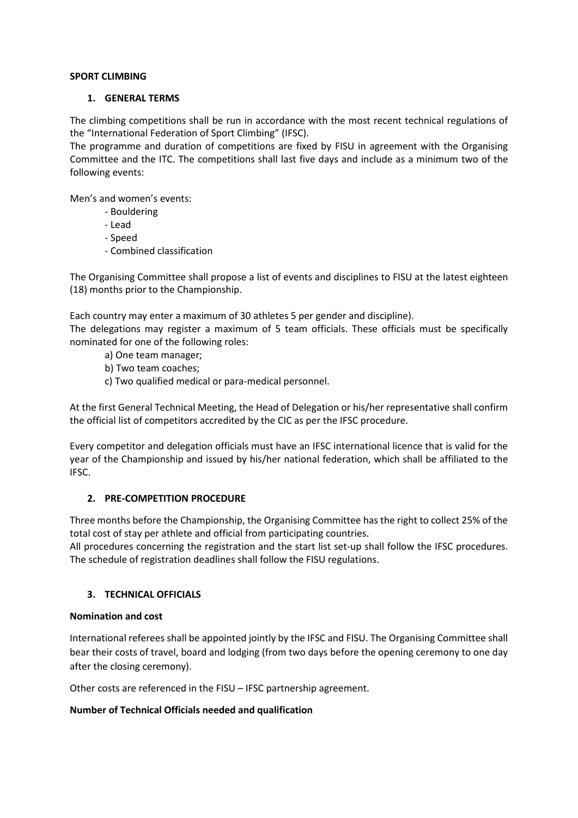### **SPORT CLIMBING**

### **1. GENERAL TERMS**

The climbing competitions shall be run in accordance with the most recent technical regulations of the "International Federation of Sport Climbing" (IFSC).

The programme and duration of competitions are fixed by FISU in agreement with the Organising Committee and the ITC. The competitions shall last five days and include as a minimum two of the following events:

Men's and women's events:

- Bouldering
- Lead
- Speed
- Combined classification

The Organising Committee shall propose a list of events and disciplines to FISU at the latest eighteen (18) months prior to the Championship.

Each country may enter a maximum of 30 athletes 5 per gender and discipline).

The delegations may register a maximum of 5 team officials. These officials must be specifically nominated for one of the following roles:

- a) One team manager;
- b) Two team coaches;
- c) Two qualified medical or para-medical personnel.

At the first General Technical Meeting, the Head of Delegation or his/her representative shall confirm the official list of competitors accredited by the CIC as per the IFSC procedure.

Every competitor and delegation officials must have an IFSC international licence that is valid for the year of the Championship and issued by his/her national federation, which shall be affiliated to the IFSC.

### **2. PRE-COMPETITION PROCEDURE**

Three months before the Championship, the Organising Committee has the right to collect 25% of the total cost of stay per athlete and official from participating countries.

All procedures concerning the registration and the start list set-up shall follow the IFSC procedures. The schedule of registration deadlines shall follow the FISU regulations.

# **3. TECHNICAL OFFICIALS**

### **Nomination and cost**

International referees shall be appointed jointly by the IFSC and FISU. The Organising Committee shall bear their costs of travel, board and lodging (from two days before the opening ceremony to one day after the closing ceremony).

Other costs are referenced in the FISU – IFSC partnership agreement.

# **Number of Technical Officials needed and qualification**